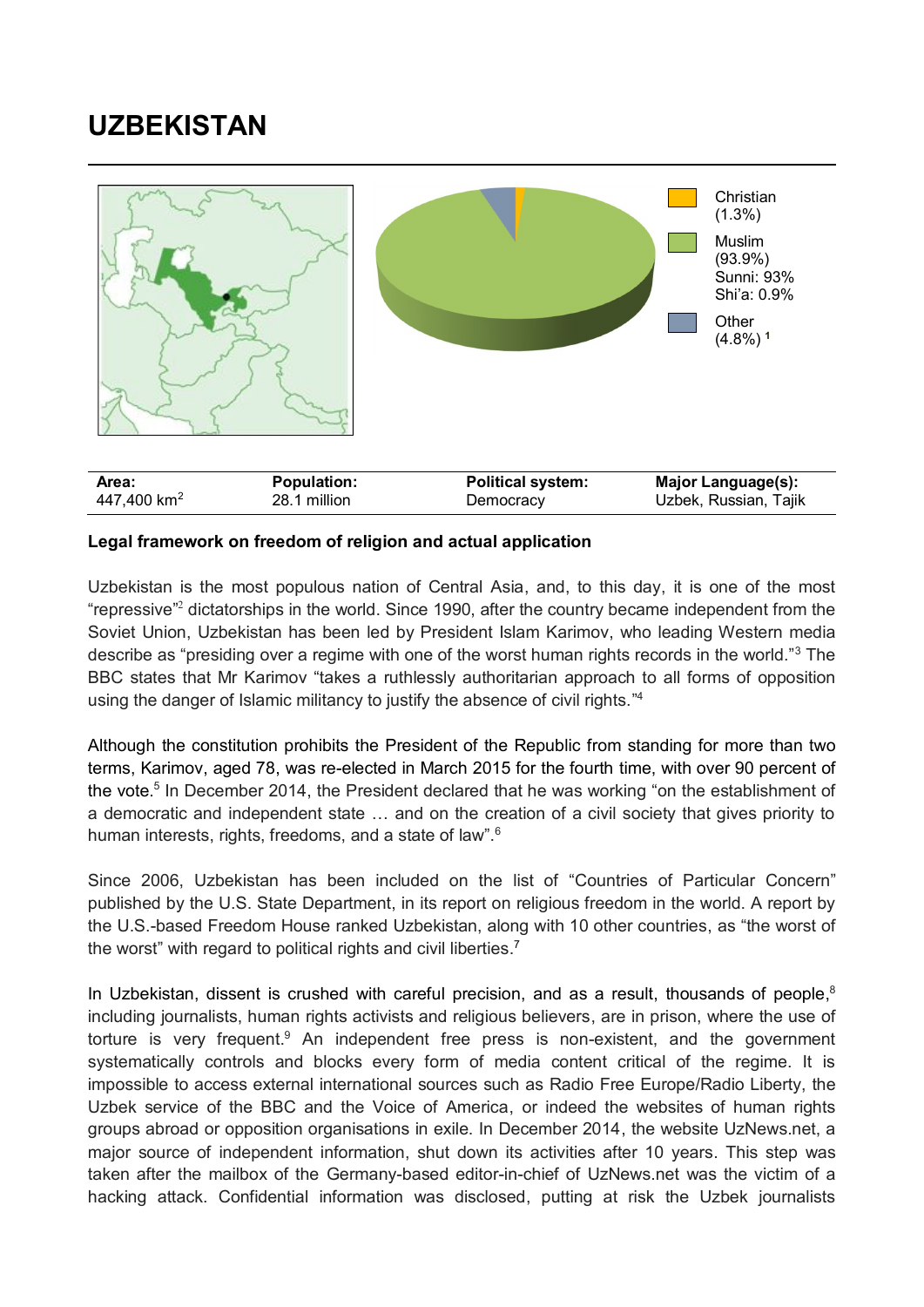## **UZBEKISTAN**



## **Legal framework on freedom of religion and actual application**

Uzbekistan is the most populous nation of Central Asia, and, to this day, it is one of the most "repressive"<sup>2</sup> dictatorships in the world. Since 1990, after the country became independent from the Soviet Union, Uzbekistan has been led by President Islam Karimov, who leading Western media describe as "presiding over a regime with one of the worst human rights records in the world."<sup>3</sup> The BBC states that Mr Karimov "takes a ruthlessly authoritarian approach to all forms of opposition using the danger of Islamic militancy to justify the absence of civil rights."<sup>4</sup>

Although the constitution prohibits the President of the Republic from standing for more than two terms, Karimov, aged 78, was re-elected in March 2015 for the fourth time, with over 90 percent of the vote.<sup>5</sup> In December 2014, the President declared that he was working "on the establishment of a democratic and independent state … and on the creation of a civil society that gives priority to human interests, rights, freedoms, and a state of law".<sup>6</sup>

Since 2006, Uzbekistan has been included on the list of "Countries of Particular Concern" published by the U.S. State Department, in its report on religious freedom in the world. A report by the U.S.-based Freedom House ranked Uzbekistan, along with 10 other countries, as "the worst of the worst" with regard to political rights and civil liberties.<sup>7</sup>

In Uzbekistan, dissent is crushed with careful precision, and as a result, thousands of people, $8$ including journalists, human rights activists and religious believers, are in prison, where the use of torture is very frequent.<sup>9</sup> An independent free press is non-existent, and the government systematically controls and blocks every form of media content critical of the regime. It is impossible to access external international sources such as Radio Free Europe/Radio Liberty, the Uzbek service of the BBC and the Voice of America, or indeed the websites of human rights groups abroad or opposition organisations in exile. In December 2014, the website UzNews.net, a major source of independent information, shut down its activities after 10 years. This step was taken after the mailbox of the Germany-based editor-in-chief of UzNews.net was the victim of a hacking attack. Confidential information was disclosed, putting at risk the Uzbek journalists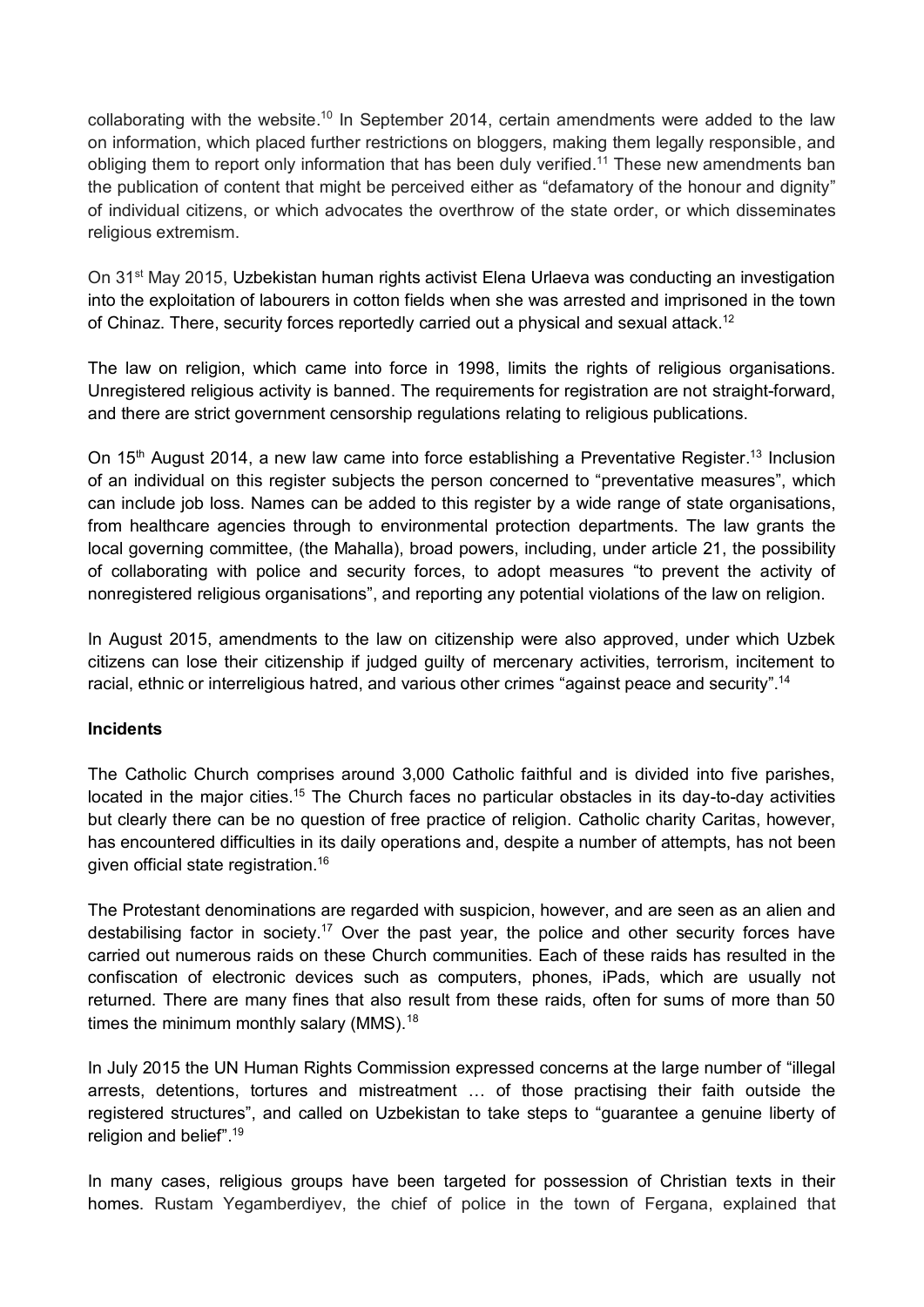collaborating with the website.<sup>10</sup> In September 2014, certain amendments were added to the law on information, which placed further restrictions on bloggers, making them legally responsible, and obliging them to report only information that has been duly verified.<sup>11</sup> These new amendments ban the publication of content that might be perceived either as "defamatory of the honour and dignity" of individual citizens, or which advocates the overthrow of the state order, or which disseminates religious extremism.

On 31<sup>st</sup> May 2015, Uzbekistan human rights activist Elena Urlaeva was conducting an investigation into the exploitation of labourers in cotton fields when she was arrested and imprisoned in the town of Chinaz. There, security forces reportedly carried out a physical and sexual attack.<sup>12</sup>

The law on religion, which came into force in 1998, limits the rights of religious organisations. Unregistered religious activity is banned. The requirements for registration are not straight-forward, and there are strict government censorship regulations relating to religious publications.

On 15<sup>th</sup> August 2014, a new law came into force establishing a Preventative Register.<sup>13</sup> Inclusion of an individual on this register subjects the person concerned to "preventative measures", which can include job loss. Names can be added to this register by a wide range of state organisations, from healthcare agencies through to environmental protection departments. The law grants the local governing committee, (the Mahalla), broad powers, including, under article 21, the possibility of collaborating with police and security forces, to adopt measures "to prevent the activity of nonregistered religious organisations", and reporting any potential violations of the law on religion.

In August 2015, amendments to the law on citizenship were also approved, under which Uzbek citizens can lose their citizenship if judged guilty of mercenary activities, terrorism, incitement to racial, ethnic or interreligious hatred, and various other crimes "against peace and security".<sup>14</sup>

## **Incidents**

The Catholic Church comprises around 3,000 Catholic faithful and is divided into five parishes, located in the major cities.<sup>15</sup> The Church faces no particular obstacles in its day-to-day activities but clearly there can be no question of free practice of religion. Catholic charity Caritas, however, has encountered difficulties in its daily operations and, despite a number of attempts, has not been given official state registration. 16

The Protestant denominations are regarded with suspicion, however, and are seen as an alien and destabilising factor in society.<sup>17</sup> Over the past year, the police and other security forces have carried out numerous raids on these Church communities. Each of these raids has resulted in the confiscation of electronic devices such as computers, phones, iPads, which are usually not returned. There are many fines that also result from these raids, often for sums of more than 50 times the minimum monthly salary (MMS).<sup>18</sup>

In July 2015 the UN Human Rights Commission expressed concerns at the large number of "illegal arrests, detentions, tortures and mistreatment … of those practising their faith outside the registered structures", and called on Uzbekistan to take steps to "guarantee a genuine liberty of religion and belief". 19

In many cases, religious groups have been targeted for possession of Christian texts in their homes. Rustam Yegamberdiyev, the chief of police in the town of Fergana, explained that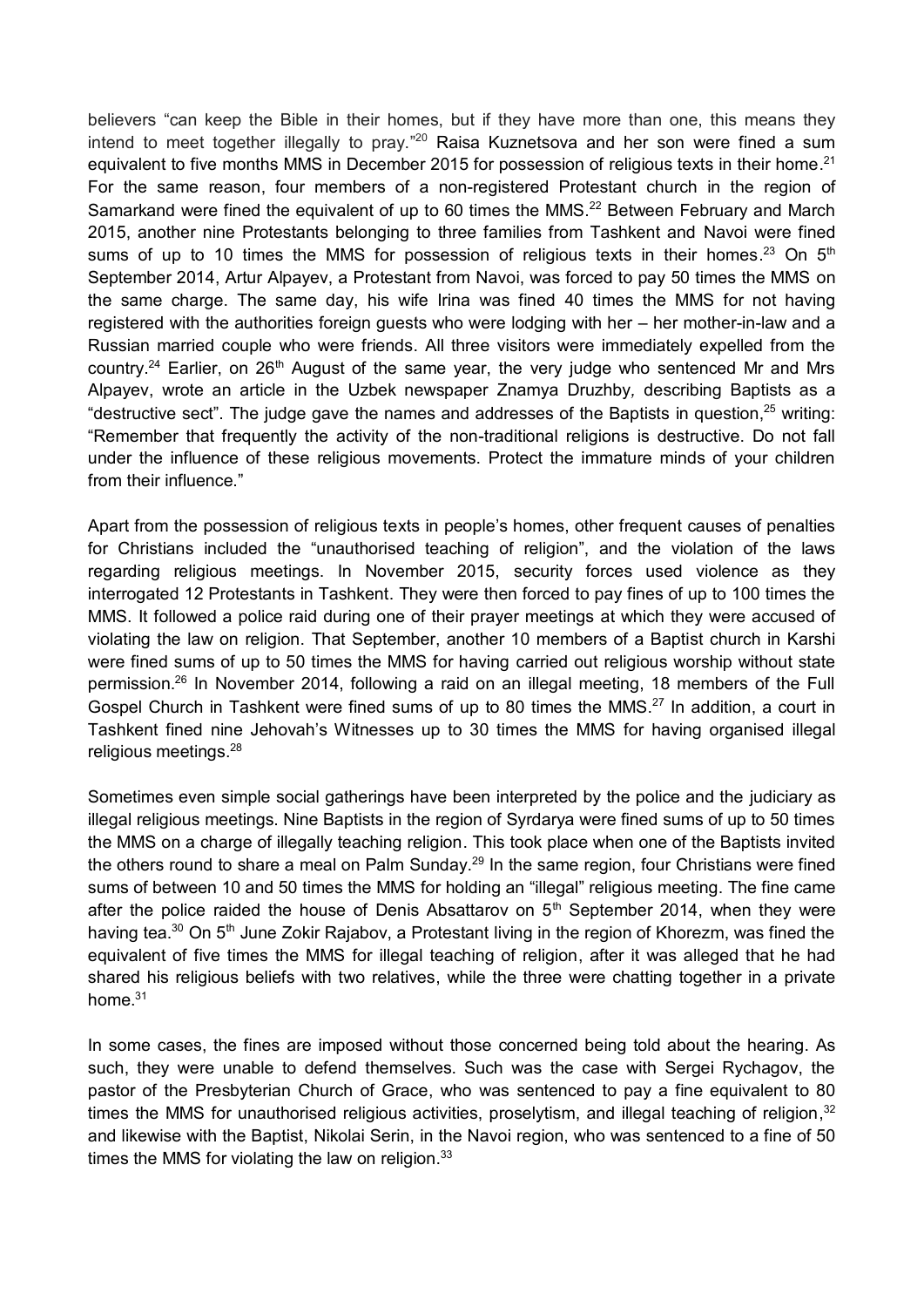believers "can keep the Bible in their homes, but if they have more than one, this means they intend to meet together illegally to pray."<sup>20</sup> Raisa Kuznetsova and her son were fined a sum equivalent to five months MMS in December 2015 for possession of religious texts in their home.<sup>21</sup> For the same reason, four members of a non-registered Protestant church in the region of Samarkand were fined the equivalent of up to 60 times the MMS.<sup>22</sup> Between February and March 2015, another nine Protestants belonging to three families from Tashkent and Navoi were fined sums of up to 10 times the MMS for possession of religious texts in their homes.<sup>23</sup> On 5<sup>th</sup> September 2014, Artur Alpayev, a Protestant from Navoi, was forced to pay 50 times the MMS on the same charge. The same day, his wife Irina was fined 40 times the MMS for not having registered with the authorities foreign guests who were lodging with her – her mother-in-law and a Russian married couple who were friends. All three visitors were immediately expelled from the country.<sup>24</sup> Earlier, on 26<sup>th</sup> August of the same year, the very judge who sentenced Mr and Mrs Alpayev, wrote an article in the Uzbek newspaper Znamya Druzhby*,* describing Baptists as a "destructive sect". The judge gave the names and addresses of the Baptists in question, <sup>25</sup> writing: "Remember that frequently the activity of the non-traditional religions is destructive. Do not fall under the influence of these religious movements. Protect the immature minds of your children from their influence."

Apart from the possession of religious texts in people's homes, other frequent causes of penalties for Christians included the "unauthorised teaching of religion", and the violation of the laws regarding religious meetings. In November 2015, security forces used violence as they interrogated 12 Protestants in Tashkent. They were then forced to pay fines of up to 100 times the MMS. It followed a police raid during one of their prayer meetings at which they were accused of violating the law on religion. That September, another 10 members of a Baptist church in Karshi were fined sums of up to 50 times the MMS for having carried out religious worship without state permission. <sup>26</sup> In November 2014, following a raid on an illegal meeting, 18 members of the Full Gospel Church in Tashkent were fined sums of up to 80 times the MMS.<sup>27</sup> In addition, a court in Tashkent fined nine Jehovah's Witnesses up to 30 times the MMS for having organised illegal religious meetings. 28

Sometimes even simple social gatherings have been interpreted by the police and the judiciary as illegal religious meetings. Nine Baptists in the region of Syrdarya were fined sums of up to 50 times the MMS on a charge of illegally teaching religion. This took place when one of the Baptists invited the others round to share a meal on Palm Sunday.<sup>29</sup> In the same region, four Christians were fined sums of between 10 and 50 times the MMS for holding an "illegal" religious meeting. The fine came after the police raided the house of Denis Absattarov on  $5<sup>th</sup>$  September 2014, when they were having tea.<sup>30</sup> On 5<sup>th</sup> June Zokir Rajabov, a Protestant living in the region of Khorezm, was fined the equivalent of five times the MMS for illegal teaching of religion, after it was alleged that he had shared his religious beliefs with two relatives, while the three were chatting together in a private home.<sup>31</sup>

In some cases, the fines are imposed without those concerned being told about the hearing. As such, they were unable to defend themselves. Such was the case with Sergei Rychagov, the pastor of the Presbyterian Church of Grace, who was sentenced to pay a fine equivalent to 80 times the MMS for unauthorised religious activities, proselytism, and illegal teaching of religion,<sup>32</sup> and likewise with the Baptist, Nikolai Serin, in the Navoi region, who was sentenced to a fine of 50 times the MMS for violating the law on religion.<sup>33</sup>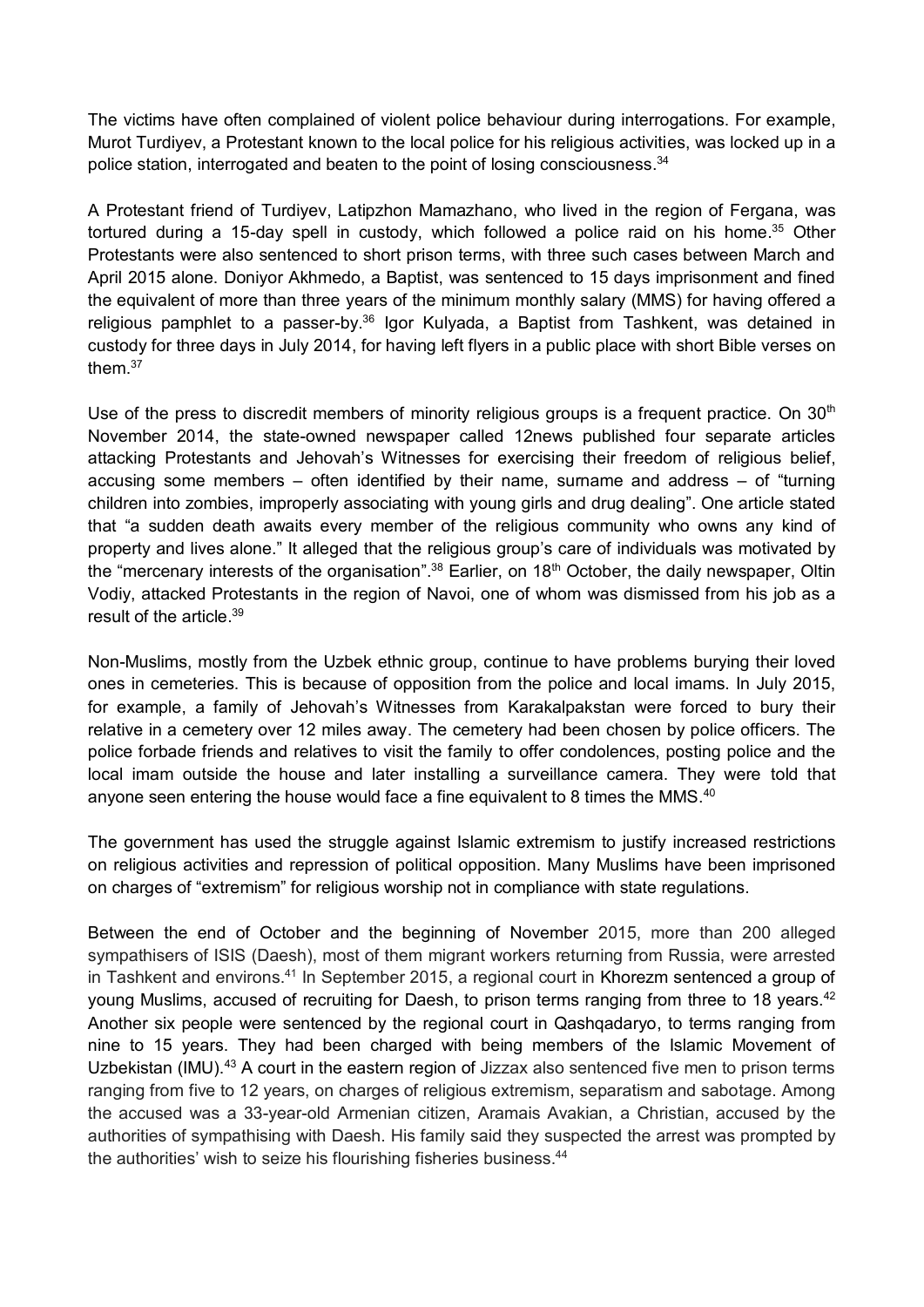The victims have often complained of violent police behaviour during interrogations. For example, Murot Turdiyev, a Protestant known to the local police for his religious activities, was locked up in a police station, interrogated and beaten to the point of losing consciousness.<sup>34</sup>

A Protestant friend of Turdiyev, Latipzhon Mamazhano, who lived in the region of Fergana, was tortured during a 15-day spell in custody, which followed a police raid on his home.<sup>35</sup> Other Protestants were also sentenced to short prison terms, with three such cases between March and April 2015 alone. Doniyor Akhmedo, a Baptist, was sentenced to 15 days imprisonment and fined the equivalent of more than three years of the minimum monthly salary (MMS) for having offered a religious pamphlet to a passer-by.<sup>36</sup> Igor Kulyada, a Baptist from Tashkent, was detained in custody for three days in July 2014, for having left flyers in a public place with short Bible verses on them. 37

Use of the press to discredit members of minority religious groups is a frequent practice. On  $30<sup>th</sup>$ November 2014, the state-owned newspaper called 12news published four separate articles attacking Protestants and Jehovah's Witnesses for exercising their freedom of religious belief, accusing some members – often identified by their name, surname and address – of "turning children into zombies, improperly associating with young girls and drug dealing". One article stated that "a sudden death awaits every member of the religious community who owns any kind of property and lives alone." It alleged that the religious group's care of individuals was motivated by the "mercenary interests of the organisation".<sup>38</sup> Earlier, on 18<sup>th</sup> October, the daily newspaper, Oltin Vodiy, attacked Protestants in the region of Navoi, one of whom was dismissed from his job as a result of the article. 39

Non-Muslims, mostly from the Uzbek ethnic group, continue to have problems burying their loved ones in cemeteries. This is because of opposition from the police and local imams. In July 2015, for example, a family of Jehovah's Witnesses from Karakalpakstan were forced to bury their relative in a cemetery over 12 miles away. The cemetery had been chosen by police officers. The police forbade friends and relatives to visit the family to offer condolences, posting police and the local imam outside the house and later installing a surveillance camera. They were told that anyone seen entering the house would face a fine equivalent to 8 times the MMS. $40$ 

The government has used the struggle against Islamic extremism to justify increased restrictions on religious activities and repression of political opposition. Many Muslims have been imprisoned on charges of "extremism" for religious worship not in compliance with state regulations.

Between the end of October and the beginning of November 2015, more than 200 alleged sympathisers of ISIS (Daesh), most of them migrant workers returning from Russia, were arrested in Tashkent and environs.<sup>41</sup> In September 2015, a regional court in Khorezm sentenced a group of young Muslims, accused of recruiting for Daesh, to prison terms ranging from three to 18 years.<sup>42</sup> Another six people were sentenced by the regional court in Qashqadaryo, to terms ranging from nine to 15 years. They had been charged with being members of the Islamic Movement of Uzbekistan (IMU).<sup>43</sup> A court in the eastern region of Jizzax also sentenced five men to prison terms ranging from five to 12 years, on charges of religious extremism, separatism and sabotage. Among the accused was a 33-year-old Armenian citizen, Aramais Avakian, a Christian, accused by the authorities of sympathising with Daesh. His family said they suspected the arrest was prompted by the authorities' wish to seize his flourishing fisheries business.<sup>44</sup>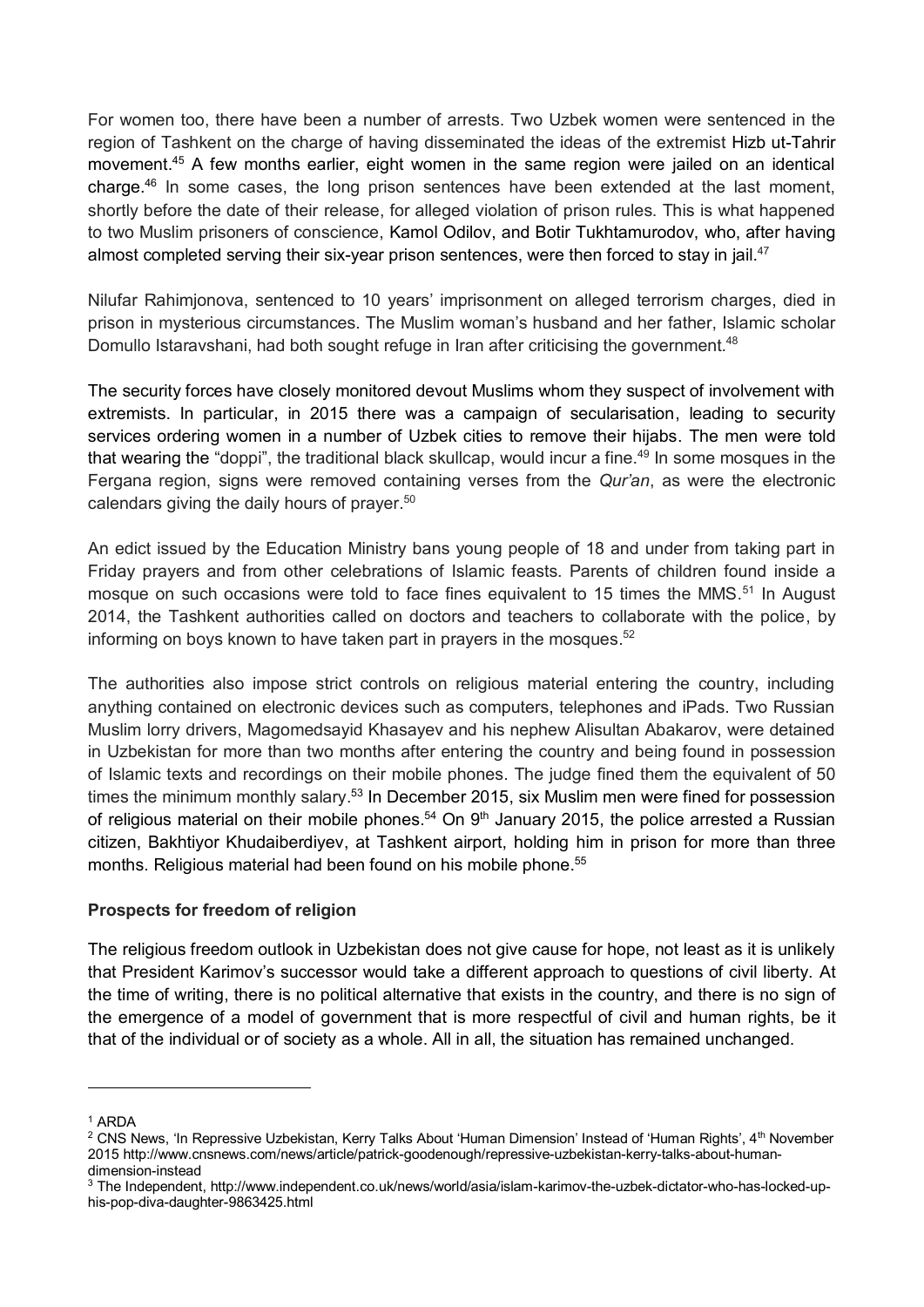For women too, there have been a number of arrests. Two Uzbek women were sentenced in the region of Tashkent on the charge of having disseminated the ideas of the extremist Hizb ut-Tahrir movement. <sup>45</sup> A few months earlier, eight women in the same region were jailed on an identical charge. <sup>46</sup> In some cases, the long prison sentences have been extended at the last moment, shortly before the date of their release, for alleged violation of prison rules. This is what happened to two Muslim prisoners of conscience, Kamol Odilov, and Botir Tukhtamurodov, who, after having almost completed serving their six-year prison sentences, were then forced to stay in jail.<sup>47</sup>

Nilufar Rahimjonova, sentenced to 10 years' imprisonment on alleged terrorism charges, died in prison in mysterious circumstances. The Muslim woman's husband and her father, Islamic scholar Domullo Istaravshani, had both sought refuge in Iran after criticising the government.<sup>48</sup>

The security forces have closely monitored devout Muslims whom they suspect of involvement with extremists. In particular, in 2015 there was a campaign of secularisation, leading to security services ordering women in a number of Uzbek cities to remove their hijabs. The men were told that wearing the "doppi", the traditional black skullcap, would incur a fine.<sup>49</sup> In some mosques in the Fergana region, signs were removed containing verses from the *Qur'an*, as were the electronic calendars giving the daily hours of prayer. 50

An edict issued by the Education Ministry bans young people of 18 and under from taking part in Friday prayers and from other celebrations of Islamic feasts. Parents of children found inside a mosque on such occasions were told to face fines equivalent to 15 times the MMS.<sup>51</sup> In August 2014, the Tashkent authorities called on doctors and teachers to collaborate with the police, by informing on boys known to have taken part in prayers in the mosques. 52

The authorities also impose strict controls on religious material entering the country, including anything contained on electronic devices such as computers, telephones and iPads. Two Russian Muslim lorry drivers, Magomedsayid Khasayev and his nephew Alisultan Abakarov, were detained in Uzbekistan for more than two months after entering the country and being found in possession of Islamic texts and recordings on their mobile phones. The judge fined them the equivalent of 50 times the minimum monthly salary.<sup>53</sup> In December 2015, six Muslim men were fined for possession of religious material on their mobile phones.<sup>54</sup> On  $9<sup>th</sup>$  January 2015, the police arrested a Russian citizen, Bakhtiyor Khudaiberdiyev, at Tashkent airport, holding him in prison for more than three months. Religious material had been found on his mobile phone. 55

## **Prospects for freedom of religion**

The religious freedom outlook in Uzbekistan does not give cause for hope, not least as it is unlikely that President Karimov's successor would take a different approach to questions of civil liberty. At the time of writing, there is no political alternative that exists in the country, and there is no sign of the emergence of a model of government that is more respectful of civil and human rights, be it that of the individual or of society as a whole. All in all, the situation has remained unchanged.

1

<sup>1</sup> ARDA

<sup>&</sup>lt;sup>2</sup> CNS News, 'In Repressive Uzbekistan, Kerry Talks About 'Human Dimension' Instead of 'Human Rights', 4<sup>th</sup> November 2015 http://www.cnsnews.com/news/article/patrick-goodenough/repressive-uzbekistan-kerry-talks-about-humandimension-instead

<sup>3</sup> The Independent, http://www.independent.co.uk/news/world/asia/islam-karimov-the-uzbek-dictator-who-has-locked-uphis-pop-diva-daughter-9863425.html